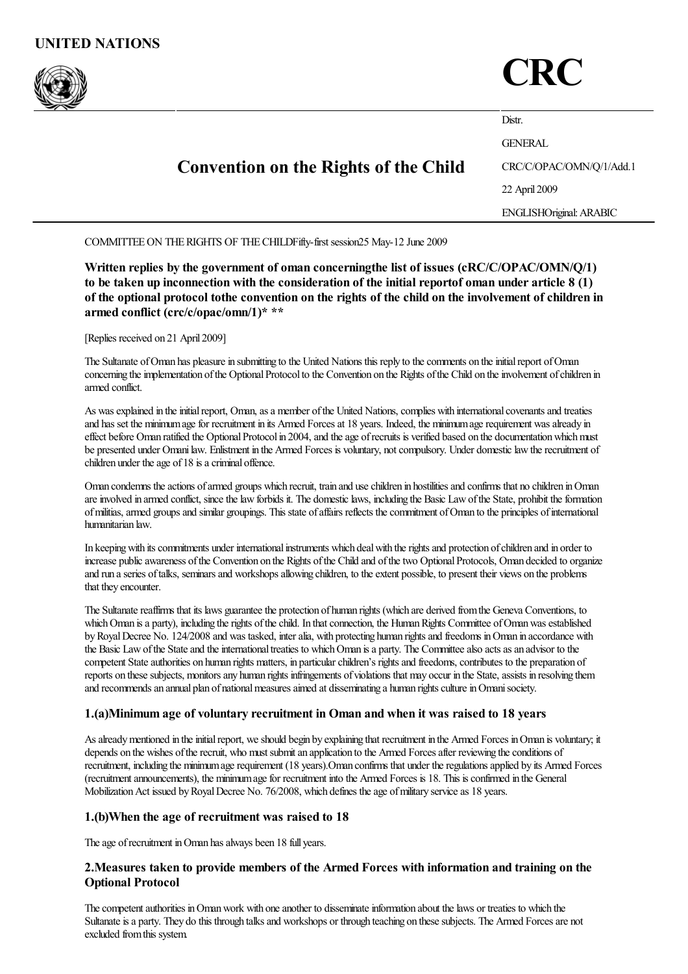

# **CRC**

|  | <b>Convention on the Rights of the Child</b> | Distr.                         |
|--|----------------------------------------------|--------------------------------|
|  |                                              | <b>GENERAL</b>                 |
|  |                                              | CRC/C/OPAC/OMN/Q/1/Add.1       |
|  |                                              | 22 April 2009                  |
|  |                                              | <b>ENGLISHOriginal: ARABIC</b> |

COMMITTEE ON THE RIGHTS OF THE CHILDFifty-first session25 May-12 June 2009

Written replies by the government of oman concerningthe list of issues (cRC/C/OPAC/OMN/Q/1) to be taken up inconnection with the consideration of the initial reportof oman under article 8 (1) of the optional protocol tothe convention on the rights of the child on the involvement of children in armed conflict (crc/c/opac/omn/1)\* \*\*

[Replies received on 21 April 2009]

The Sultanate of Oman has pleasure in submitting to the United Nations this reply to the comments on the initial report of Oman concerning the implementation of the Optional Protocol to the Convention on the Rights of the Child on the involvement of children in armed conflict.

As was explained in the initial report, Oman, as a member of the United Nations, complies with international covenants and treaties and has set the minimum age for recruitment in its Armed Forces at 18 years. Indeed, the minimum age requirement was already in effect before Oman ratified the Optional Protocol in 2004, and the age of recruits is verified based on the documentation which must be presented under Omani law. Enlistment in the Armed Forces is voluntary, not compulsory. Under domestic law the recruitment of children under the age of 18 is a criminal offence.

Oman condemns the actions of armed groups which recruit, train and use children in hostilities and confirms that no children in Oman are involved in armed conflict, since the law forbids it. The domestic laws, including the Basic Law of the State, prohibit the formation of militias, armed groups and similar groupings. This state of affairs reflects the commitment of Oman to the principles of international humanitarian law.

In keeping with its commitments under international instruments which deal with the rights and protection of children and in order to increase public awareness of the Convention on the Rights of the Child and of the two Optional Protocols, Oman decided to organize and run a series of talks, seminars and workshops allowing children, to the extent possible, to present their views on the problems that they encounter.

The Sultanate reaffirms that its laws guarantee the protection of human rights (which are derived from the Geneva Conventions, to which Oman is a party), including the rights of the child. In that connection, the Human Rights Committee of Oman was established by Royal Decree No. 124/2008 and was tasked, inter alia, with protecting human rights and freedoms in Oman in accordance with the Basic Law of the State and the international treaties to which Oman is a party. The Committee also acts as an advisor to the competent State authorities on human rights matters, in particular children's rights and freedoms, contributes to the preparation of reports on these subjects, monitors any human rights infringements of violations that may occur in the State, assists in resolving them and recommends an annual plan of national measures aimed at disseminating a human rights culture in Omani society.

# 1.(a)Minimum age of voluntary recruitment in Oman and when it was raised to 18 years

As already mentioned in the initial report, we should begin by explaining that recruitment in the Armed Forces in Oman is voluntary; it depends on the wishes of the recruit, who must submit an application to the Armed Forces after reviewing the conditions of recruitment, including the minimumagerequirement (18 years).Oman confirms that under theregulationsapplied by its Armed Forces (recruitmentannouncements), the minimumagefor recruitment into the Armed Forces is 18. This isconfirmed in the General Mobilization Act issued by Royal Decree No. 76/2008, which defines the age of military service as 18 years.

#### 1.(b)When the age of recruitment was raised to 18

The age of recruitment in Oman has always been 18 full years.

# 2.Measures taken to provide members of the Armed Forces with information and training on the Optional Protocol

The competent authorities in Oman work with one another to disseminate information about the laws or treaties to which the Sultanate is a party. They do this through talks and workshops or through teaching on these subjects. The Armed Forces are not excluded fromthis system.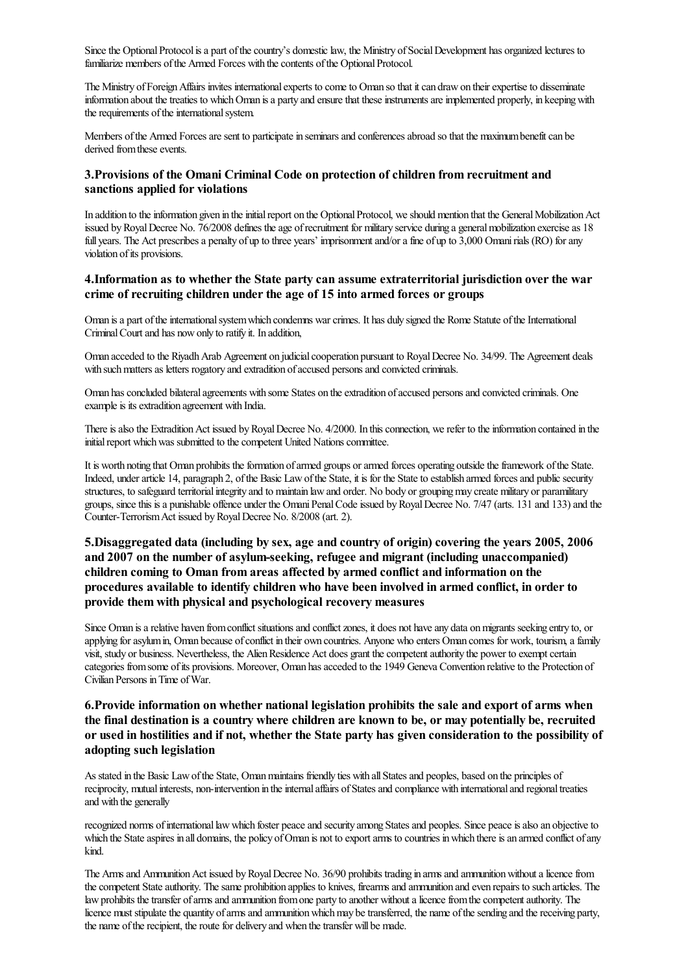Since the Optional Protocol is a part of the country's domestic law, the Ministry of Social Development has organized lectures to familiarize members of the Armed Forces with the contents of the Optional Protocol.

The Ministry of Foreign Affairs invites international experts to come to Oman so that it can draw on their expertise to disseminate information about the treaties to which Oman is a party and ensure that these instruments are implemented properly, in keeping with the requirements of the international system.

Members of the Armed Forces are sent to participate in seminars and conferences abroad so that the maximum benefit can be derived from these events.

### 3.Provisions of the Omani Criminal Code on protection of children from recruitment and sanctions applied for violations

In addition to the information given in the initial report on the Optional Protocol, we should mention that the General Mobilization Act issued by Royal Decree No. 76/2008 defines the age of recruitment for military service during a general mobilization exercise as 18 full years. The Act prescribes a penalty of up to three years' imprisonment and/or a fine of up to 3,000 Omani rials (RO) for any violation of its provisions.

#### 4. Information as to whether the State party can assume extraterritorial jurisdiction over the war crime of recruiting children under the age of 15 into armed forces or groups

Oman is a part of the international system which condemns war crimes. It has duly signed the Rome Statute of the International Criminal Court and has now only to ratify it. In addition,

Oman acceded to the Riyadh Arab Agreement on judicial cooperation pursuant to Royal Decree No. 34/99. The Agreement deals with such matters as letters rogatory and extradition of accused persons and convicted criminals.

Oman has concluded bilateral agreements with some States on the extradition of accused persons and convicted criminals. One example is its extradition agreement with India.

There is also the Extradition Act issued by Royal Decree No. 4/2000. In this connection, we refer to the information contained in the initial report which was submitted to the competent United Nations committee.

It is worth noting that Oman prohibits the formation of armed groups or armed forces operating outside the framework of the State. Indeed, under article 14, paragraph 2, of the Basic Law of the State, it is for the State to establish armed forces and public security structures, to safeguard territorialintegrity and to maintain lawand order. No body or groupingmay create military or paramilitary groups, since this is a punishable offence under the Omani Penal Code issued by Royal Decree No. 7/47 (arts. 131 and 133) and the Counter-TerrorismAct issued byRoyalDecree No. 8/2008 (art. 2).

# 5.Disaggregated data (including by sex, age and country of origin) covering the years 2005, 2006 and 2007 on the number of asylum-seeking, refugee and migrant (including unaccompanied) children coming to Oman from areas affected by armed conflict and information on the procedures available to identify children who have been involved in armed conflict, in orderto provide them with physical and psychological recovery measures

Since Oman is a relative haven from conflict situations and conflict zones, it does not have any data on migrants seeking entry to, or applying for asylum in, Oman because of conflict in their own countries. Anyone who enters Oman comes for work, tourism, a family visit, study or business. Nevertheless, the Alien Residence Act does grant the competent authority the power to exempt certain categories from some of its provisions. Moreover, Oman has acceded to the 1949 Geneva Convention relative to the Protection of Civilian Persons inTime ofWar.

# 6.Provide information on whether national legislation prohibits the sale and export of arms when the final destination is a country where children are known to be, or may potentially be, recruited or used in hostilities and if not, whether the State party has given consideration to the possibility of adopting such legislation

As stated in the Basic Law of the State, Oman maintains friendly ties with all States and peoples, based on the principles of reciprocity, mutual interests, non-intervention in the internal affairs of States and compliance with international and regional treaties and with the generally

recognized norms of international law which foster peace and security among States and peoples. Since peace is also an objective to which the State aspires in all domains, the policy of Oman is not to export arms to countries in which there is an armed conflict of any kind.

The Arms and Ammunition Act issued by Royal Decree No. 36/90 prohibits trading in arms and ammunition without a licence from the competent State authority. The same prohibition applies to knives, firearms and ammunition and even repairs to such articles. The law prohibits the transfer of arms and ammunition from one party to another without a licence from the competent authority. The licence must stipulate the quantity of arms and ammunition which may be transferred, the name of the sending and the receiving party, the name of the recipient, the route for delivery and when the transfer will be made.